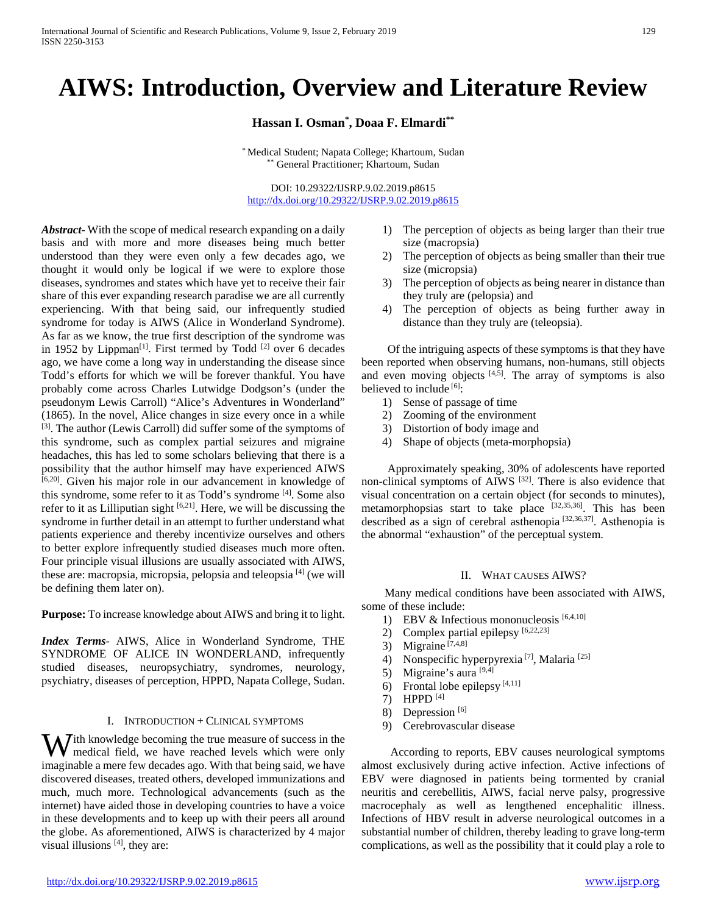# **AIWS: Introduction, Overview and Literature Review**

**Hassan I. Osman\* , Doaa F. Elmardi\*\***

\* Medical Student; Napata College; Khartoum, Sudan \*\* General Practitioner; Khartoum, Sudan

DOI: 10.29322/IJSRP.9.02.2019.p8615 <http://dx.doi.org/10.29322/IJSRP.9.02.2019.p8615>

*Abstract***-** With the scope of medical research expanding on a daily basis and with more and more diseases being much better understood than they were even only a few decades ago, we thought it would only be logical if we were to explore those diseases, syndromes and states which have yet to receive their fair share of this ever expanding research paradise we are all currently experiencing. With that being said, our infrequently studied syndrome for today is AIWS (Alice in Wonderland Syndrome). As far as we know, the true first description of the syndrome was in 1952 by Lippman<sup>[1]</sup>. First termed by Todd <sup>[2]</sup> over 6 decades ago, we have come a long way in understanding the disease since Todd's efforts for which we will be forever thankful. You have probably come across Charles Lutwidge Dodgson's (under the pseudonym Lewis Carroll) "Alice's Adventures in Wonderland" (1865). In the novel, Alice changes in size every once in a while [3]. The author (Lewis Carroll) did suffer some of the symptoms of this syndrome, such as complex partial seizures and migraine headaches, this has led to some scholars believing that there is a possibility that the author himself may have experienced AIWS [6,20]. Given his major role in our advancement in knowledge of this syndrome, some refer to it as Todd's syndrome [4]. Some also refer to it as Lilliputian sight [6,21]. Here, we will be discussing the syndrome in further detail in an attempt to further understand what patients experience and thereby incentivize ourselves and others to better explore infrequently studied diseases much more often. Four principle visual illusions are usually associated with AIWS, these are: macropsia, micropsia, pelopsia and teleopsia [4] (we will be defining them later on).

**Purpose:** To increase knowledge about AIWS and bring it to light.

*Index Terms*- AIWS, Alice in Wonderland Syndrome, THE SYNDROME OF ALICE IN WONDERLAND, infrequently studied diseases, neuropsychiatry, syndromes, neurology, psychiatry, diseases of perception, HPPD, Napata College, Sudan.

# I. INTRODUCTION + CLINICAL SYMPTOMS

W ith knowledge becoming the true measure of success in the medical field, we have reached levels which were only medical field, we have reached levels which were only imaginable a mere few decades ago. With that being said, we have discovered diseases, treated others, developed immunizations and much, much more. Technological advancements (such as the internet) have aided those in developing countries to have a voice in these developments and to keep up with their peers all around the globe. As aforementioned, AIWS is characterized by 4 major visual illusions [4], they are:

- 1) The perception of objects as being larger than their true size (macropsia)
- 2) The perception of objects as being smaller than their true size (micropsia)
- 3) The perception of objects as being nearer in distance than they truly are (pelopsia) and
- 4) The perception of objects as being further away in distance than they truly are (teleopsia).

 Of the intriguing aspects of these symptoms is that they have been reported when observing humans, non-humans, still objects and even moving objects  $[4,5]$ . The array of symptoms is also believed to include [6]:

- 1) Sense of passage of time
- 2) Zooming of the environment
- 3) Distortion of body image and
- 4) Shape of objects (meta-morphopsia)

 Approximately speaking, 30% of adolescents have reported non-clinical symptoms of AIWS [32]. There is also evidence that visual concentration on a certain object (for seconds to minutes), metamorphopsias start to take place [32,35,36]. This has been described as a sign of cerebral asthenopia [32,36,37]. Asthenopia is the abnormal "exhaustion" of the perceptual system.

### II. WHAT CAUSES AIWS?

 Many medical conditions have been associated with AIWS, some of these include:

- 1) EBV & Infectious mononucleosis  $[6,4,10]$
- 2) Complex partial epilepsy [6,22,23]
- 3) Migraine [7,4,8]
- 4) Nonspecific hyperpyrexia<sup>[7]</sup>, Malaria<sup>[25]</sup>
- 5) Migraine's aura  $[9,4]$
- 6) Frontal lobe epilepsy  $[4,11]$
- 7) HPPD [4]
- 8) Depression<sup>[6]</sup>
- 9) Cerebrovascular disease

 According to reports, EBV causes neurological symptoms almost exclusively during active infection. Active infections of EBV were diagnosed in patients being tormented by cranial neuritis and cerebellitis, AIWS, facial nerve palsy, progressive macrocephaly as well as lengthened encephalitic illness. Infections of HBV result in adverse neurological outcomes in a substantial number of children, thereby leading to grave long-term complications, as well as the possibility that it could play a role to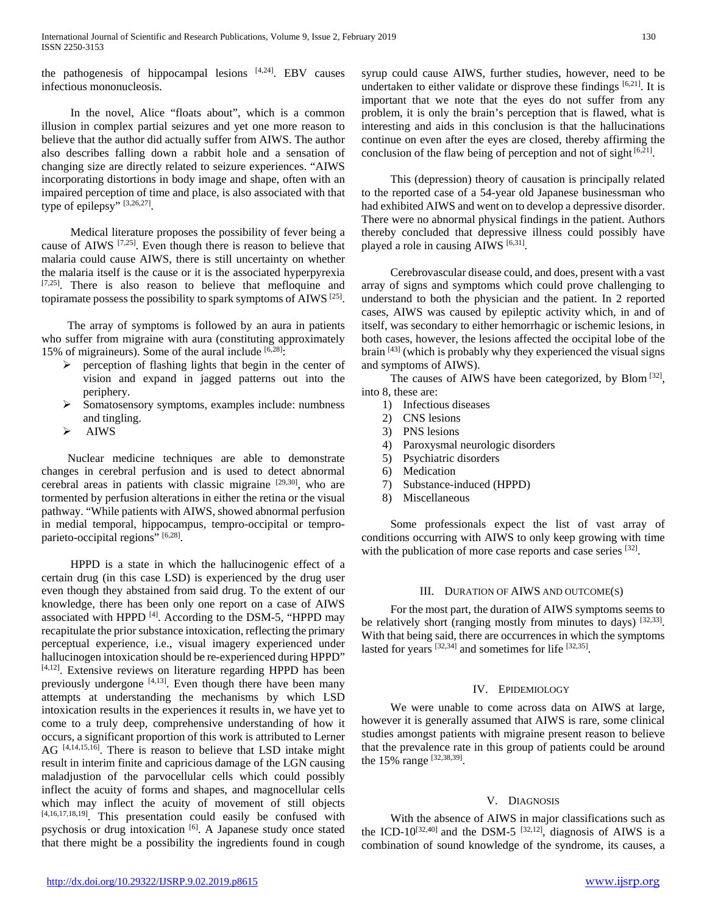the pathogenesis of hippocampal lesions  $[4,24]$ . EBV causes infectious mononucleosis.

 In the novel, Alice "floats about", which is a common illusion in complex partial seizures and yet one more reason to believe that the author did actually suffer from AIWS. The author also describes falling down a rabbit hole and a sensation of changing size are directly related to seizure experiences. "AIWS incorporating distortions in body image and shape, often with an impaired perception of time and place, is also associated with that type of epilepsy" [3,26,27].

Medical literature proposes the possibility of fever being a cause of AIWS  $[7,25]$ . Even though there is reason to believe that malaria could cause AIWS, there is still uncertainty on whether the malaria itself is the cause or it is the associated hyperpyrexia [7,25]. There is also reason to believe that mefloquine and topiramate possess the possibility to spark symptoms of AIWS [25].

 The array of symptoms is followed by an aura in patients who suffer from migraine with aura (constituting approximately 15% of migraineurs). Some of the aural include  $[6,28]$ :

- $\triangleright$  perception of flashing lights that begin in the center of vision and expand in jagged patterns out into the periphery.
- $\triangleright$  Somatosensory symptoms, examples include: numbness and tingling.
- $\triangleright$  AIWS

 Nuclear medicine techniques are able to demonstrate changes in cerebral perfusion and is used to detect abnormal cerebral areas in patients with classic migraine [29,30], who are tormented by perfusion alterations in either the retina or the visual pathway. "While patients with AIWS, showed abnormal perfusion in medial temporal, hippocampus, tempro-occipital or temproparieto-occipital regions" [6,28].

 HPPD is a state in which the hallucinogenic effect of a certain drug (in this case LSD) is experienced by the drug user even though they abstained from said drug. To the extent of our knowledge, there has been only one report on a case of AIWS associated with HPPD [4]. According to the DSM-5, "HPPD may recapitulate the prior substance intoxication, reflecting the primary perceptual experience, i.e., visual imagery experienced under hallucinogen intoxication should be re-experienced during HPPD" [4,12]. Extensive reviews on literature regarding HPPD has been previously undergone  $[4,13]$ . Even though there have been many attempts at understanding the mechanisms by which LSD intoxication results in the experiences it results in, we have yet to come to a truly deep, comprehensive understanding of how it occurs, a significant proportion of this work is attributed to Lerner AG [4,14,15,16]. There is reason to believe that LSD intake might result in interim finite and capricious damage of the LGN causing maladjustion of the parvocellular cells which could possibly inflect the acuity of forms and shapes, and magnocellular cells which may inflect the acuity of movement of still objects [4,16,17,18,19]. This presentation could easily be confused with psychosis or drug intoxication [6]. A Japanese study once stated that there might be a possibility the ingredients found in cough syrup could cause AIWS, further studies, however, need to be undertaken to either validate or disprove these findings  $[6,21]$ . It is important that we note that the eyes do not suffer from any problem, it is only the brain's perception that is flawed, what is interesting and aids in this conclusion is that the hallucinations continue on even after the eyes are closed, thereby affirming the conclusion of the flaw being of perception and not of sight [6,21].

This (depression) theory of causation is principally related to the reported case of a 54-year old Japanese businessman who had exhibited AIWS and went on to develop a depressive disorder. There were no abnormal physical findings in the patient. Authors thereby concluded that depressive illness could possibly have played a role in causing AIWS [6,31].

 Cerebrovascular disease could, and does, present with a vast array of signs and symptoms which could prove challenging to understand to both the physician and the patient. In 2 reported cases, AIWS was caused by epileptic activity which, in and of itself, was secondary to either hemorrhagic or ischemic lesions, in both cases, however, the lesions affected the occipital lobe of the brain  $[43]$  (which is probably why they experienced the visual signs and symptoms of AIWS).

 The causes of AIWS have been categorized, by Blom [32], into 8, these are:

- 1) Infectious diseases
- 2) CNS lesions
- 3) PNS lesions
- 4) Paroxysmal neurologic disorders
- 5) Psychiatric disorders
- 6) Medication
- 7) Substance-induced (HPPD)
- 8) Miscellaneous

 Some professionals expect the list of vast array of conditions occurring with AIWS to only keep growing with time with the publication of more case reports and case series [32].

# III. DURATION OF AIWS AND OUTCOME(S)

 For the most part, the duration of AIWS symptoms seems to be relatively short (ranging mostly from minutes to days) [32,33]. With that being said, there are occurrences in which the symptoms lasted for years  $^{[32,34]}$  and sometimes for life  $^{[32,35]}$ .

# IV. EPIDEMIOLOGY

We were unable to come across data on AIWS at large, however it is generally assumed that AIWS is rare, some clinical studies amongst patients with migraine present reason to believe that the prevalence rate in this group of patients could be around the 15% range [32,38,39].

# V. DIAGNOSIS

 With the absence of AIWS in major classifications such as the ICD-10<sup>[32,40]</sup> and the DSM-5<sup>[32,12]</sup>, diagnosis of AIWS is a combination of sound knowledge of the syndrome, its causes, a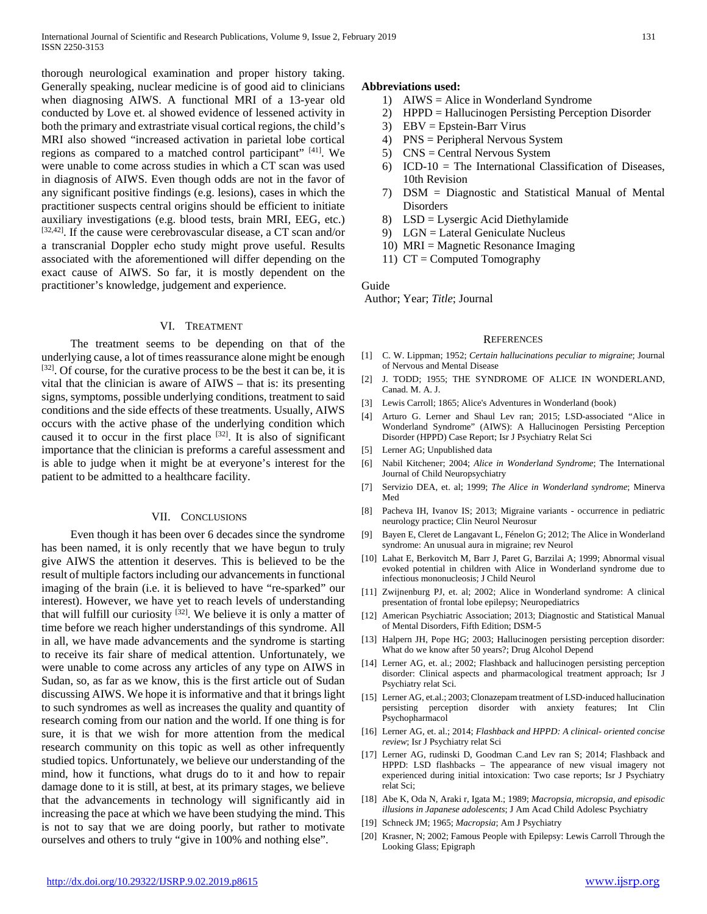thorough neurological examination and proper history taking. Generally speaking, nuclear medicine is of good aid to clinicians when diagnosing AIWS. A functional MRI of a 13-year old conducted by Love et. al showed evidence of lessened activity in both the primary and extrastriate visual cortical regions, the child's MRI also showed "increased activation in parietal lobe cortical regions as compared to a matched control participant" [41]. We were unable to come across studies in which a CT scan was used in diagnosis of AIWS. Even though odds are not in the favor of any significant positive findings (e.g. lesions), cases in which the practitioner suspects central origins should be efficient to initiate auxiliary investigations (e.g. blood tests, brain MRI, EEG, etc.)  $[32,42]$ . If the cause were cerebrovascular disease, a CT scan and/or a transcranial Doppler echo study might prove useful. Results associated with the aforementioned will differ depending on the exact cause of AIWS. So far, it is mostly dependent on the practitioner's knowledge, judgement and experience.

### VI. TREATMENT

 The treatment seems to be depending on that of the underlying cause, a lot of times reassurance alone might be enough  $[32]$ . Of course, for the curative process to be the best it can be, it is vital that the clinician is aware of AIWS – that is: its presenting signs, symptoms, possible underlying conditions, treatment to said conditions and the side effects of these treatments. Usually, AIWS occurs with the active phase of the underlying condition which caused it to occur in the first place [32]. It is also of significant importance that the clinician is preforms a careful assessment and is able to judge when it might be at everyone's interest for the patient to be admitted to a healthcare facility.

## VII. CONCLUSIONS

 Even though it has been over 6 decades since the syndrome has been named, it is only recently that we have begun to truly give AIWS the attention it deserves. This is believed to be the result of multiple factors including our advancements in functional imaging of the brain (i.e. it is believed to have "re-sparked" our interest). However, we have yet to reach levels of understanding that will fulfill our curiosity  $^{[32]}$ . We believe it is only a matter of time before we reach higher understandings of this syndrome. All in all, we have made advancements and the syndrome is starting to receive its fair share of medical attention. Unfortunately, we were unable to come across any articles of any type on AIWS in Sudan, so, as far as we know, this is the first article out of Sudan discussing AIWS. We hope it is informative and that it brings light to such syndromes as well as increases the quality and quantity of research coming from our nation and the world. If one thing is for sure, it is that we wish for more attention from the medical research community on this topic as well as other infrequently studied topics. Unfortunately, we believe our understanding of the mind, how it functions, what drugs do to it and how to repair damage done to it is still, at best, at its primary stages, we believe that the advancements in technology will significantly aid in increasing the pace at which we have been studying the mind. This is not to say that we are doing poorly, but rather to motivate ourselves and others to truly "give in 100% and nothing else".

## **Abbreviations used:**

- 1) AIWS = Alice in Wonderland Syndrome
- 2) HPPD = Hallucinogen Persisting Perception Disorder
- 3) EBV = Epstein-Barr Virus
- 4) PNS = Peripheral Nervous System
- 5) CNS = Central Nervous System
- 6) ICD-10 = The International Classification of Diseases, 10th Revision
- 7) DSM = Diagnostic and Statistical Manual of Mental Disorders
- 8) LSD = Lysergic Acid Diethylamide
- 9) LGN = Lateral Geniculate Nucleus
- 10) MRI = Magnetic Resonance Imaging
- 11) CT = Computed Tomography

#### Guide

Author; Year; *Title*; Journal

#### **REFERENCES**

- [1] C. W. Lippman; 1952; *Certain hallucinations peculiar to migraine*; Journal of Nervous and Mental Disease
- [2] J. TODD; 1955; THE SYNDROME OF ALICE IN WONDERLAND, Canad. M. A. J.
- [3] Lewis Carroll; 1865; Alice's Adventures in Wonderland (book)
- [4] Arturo G. Lerner and Shaul Lev ran; 2015; LSD-associated "Alice in Wonderland Syndrome" (AIWS): A Hallucinogen Persisting Perception Disorder (HPPD) Case Report; Isr J Psychiatry Relat Sci
- [5] Lerner AG; Unpublished data
- [6] Nabil Kitchener; 2004; *Alice in Wonderland Syndrome*; The International Journal of Child Neuropsychiatry
- [7] Servizio DEA, et. al; 1999; *The Alice in Wonderland syndrome*; Minerva Med
- [8] Pacheva IH, Ivanov IS; 2013; Migraine variants occurrence in pediatric neurology practice; Clin Neurol Neurosur
- [9] Bayen E, Cleret de Langavant L, Fénelon G; 2012; The Alice in Wonderland syndrome: An unusual aura in migraine; rev Neurol
- [10] Lahat E, Berkovitch M, Barr J, Paret G, Barzilai A; 1999; Abnormal visual evoked potential in children with Alice in Wonderland syndrome due to infectious mononucleosis; J Child Neurol
- [11] Zwijnenburg PJ, et. al; 2002; Alice in Wonderland syndrome: A clinical presentation of frontal lobe epilepsy; Neuropediatrics
- [12] American Psychiatric Association; 2013; Diagnostic and Statistical Manual of Mental Disorders, Fifth Edition; DSM-5
- [13] Halpern JH, Pope HG; 2003; Hallucinogen persisting perception disorder: What do we know after 50 years?; Drug Alcohol Depend
- [14] Lerner AG, et. al.; 2002; Flashback and hallucinogen persisting perception disorder: Clinical aspects and pharmacological treatment approach; Isr J Psychiatry relat Sci.
- [15] Lerner AG, et.al.; 2003; Clonazepam treatment of LSD-induced hallucination persisting perception disorder with anxiety features; Int Clin Psychopharmacol
- [16] Lerner AG, et. al.; 2014; *Flashback and HPPD: A clinical- oriented concise review*; Isr J Psychiatry relat Sci
- [17] Lerner AG, rudinski D, Goodman C.and Lev ran S; 2014; Flashback and HPPD: LSD flashbacks – The appearance of new visual imagery not experienced during initial intoxication: Two case reports; Isr J Psychiatry relat Sci;
- [18] Abe K, Oda N, Araki r, Igata M.; 1989; *Macropsia, micropsia, and episodic illusions in Japanese adolescents*; J Am Acad Child Adolesc Psychiatry
- [19] Schneck JM; 1965; *Macropsia*; Am J Psychiatry
- [20] Krasner, N; 2002; Famous People with Epilepsy: Lewis Carroll Through the Looking Glass; Epigraph